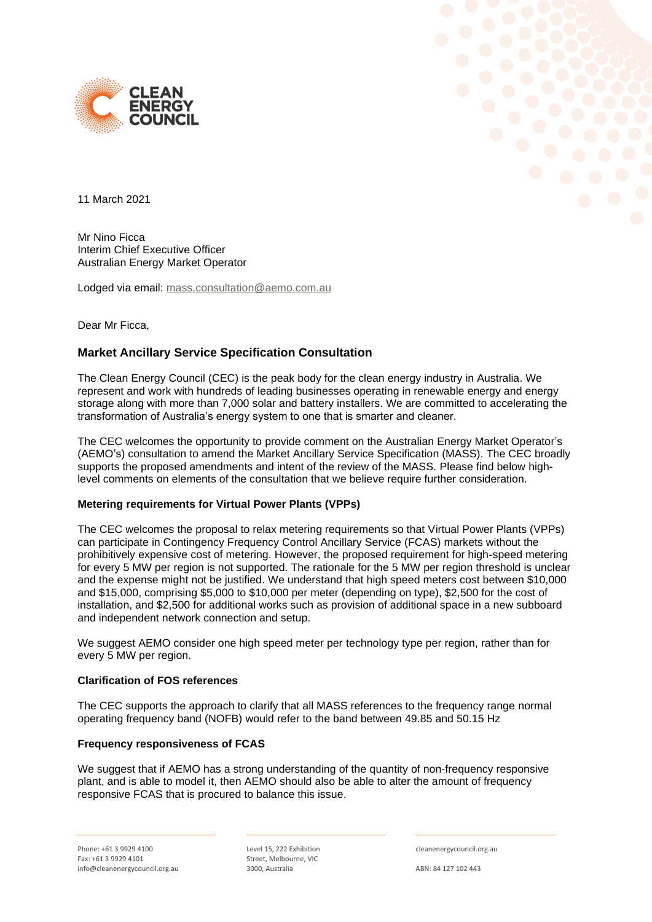



11 March 2021

Mr Nino Ficca Interim Chief Executive Officer Australian Energy Market Operator

Lodged via email: [mass.consultation@aemo.com.au](mailto:mass.consultation@aemo.com.au)

Dear Mr Ficca,

# **Market Ancillary Service Specification Consultation**

The Clean Energy Council (CEC) is the peak body for the clean energy industry in Australia. We represent and work with hundreds of leading businesses operating in renewable energy and energy storage along with more than 7,000 solar and battery installers. We are committed to accelerating the transformation of Australia's energy system to one that is smarter and cleaner.

The CEC welcomes the opportunity to provide comment on the Australian Energy Market Operator's (AEMO's) consultation to amend the Market Ancillary Service Specification (MASS). The CEC broadly supports the proposed amendments and intent of the review of the MASS. Please find below highlevel comments on elements of the consultation that we believe require further consideration.

#### **Metering requirements for Virtual Power Plants (VPPs)**

The CEC welcomes the proposal to relax metering requirements so that Virtual Power Plants (VPPs) can participate in Contingency Frequency Control Ancillary Service (FCAS) markets without the prohibitively expensive cost of metering. However, the proposed requirement for high-speed metering for every 5 MW per region is not supported. The rationale for the 5 MW per region threshold is unclear and the expense might not be justified. We understand that high speed meters cost between \$10,000 and \$15,000, comprising \$5,000 to \$10,000 per meter (depending on type), \$2,500 for the cost of installation, and \$2,500 for additional works such as provision of additional space in a new subboard and independent network connection and setup.

We suggest AEMO consider one high speed meter per technology type per region, rather than for every 5 MW per region.

### **Clarification of FOS references**

The CEC supports the approach to clarify that all MASS references to the frequency range normal operating frequency band (NOFB) would refer to the band between 49.85 and 50.15 Hz

#### **Frequency responsiveness of FCAS**

We suggest that if AEMO has a strong understanding of the quantity of non-frequency responsive plant, and is able to model it, then AEMO should also be able to alter the amount of frequency responsive FCAS that is procured to balance this issue.

Level 15, 222 Exhibition Street, Melbourne, VIC 3000, Australia

cleanenergycouncil.org.au

ABN: 84 127 102 443